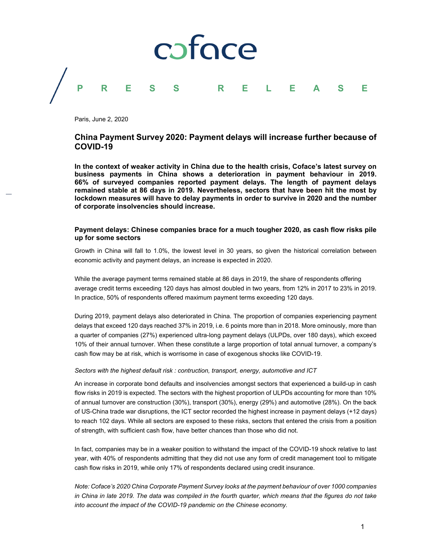

Paris, June 2, 2020

# **China Payment Survey 2020: Payment delays will increase further because of COVID-19**

**In the context of weaker activity in China due to the health crisis, Coface's latest survey on business payments in China shows a deterioration in payment behaviour in 2019. 66% of surveyed companies reported payment delays. The length of payment delays remained stable at 86 days in 2019. Nevertheless, sectors that have been hit the most by lockdown measures will have to delay payments in order to survive in 2020 and the number of corporate insolvencies should increase.**

# **Payment delays: Chinese companies brace for a much tougher 2020, as cash flow risks pile up for some sectors**

Growth in China will fall to 1.0%, the lowest level in 30 years, so given the historical correlation between economic activity and payment delays, an increase is expected in 2020.

While the average payment terms remained stable at 86 days in 2019, the share of respondents offering average credit terms exceeding 120 days has almost doubled in two years, from 12% in 2017 to 23% in 2019. In practice, 50% of respondents offered maximum payment terms exceeding 120 days.

During 2019, payment delays also deteriorated in China. The proportion of companies experiencing payment delays that exceed 120 days reached 37% in 2019, i.e. 6 points more than in 2018. More ominously, more than a quarter of companies (27%) experienced ultra-long payment delays (ULPDs, over 180 days), which exceed 10% of their annual turnover. When these constitute a large proportion of total annual turnover, a company's cash flow may be at risk, which is worrisome in case of exogenous shocks like COVID-19.

## *Sectors with the highest default risk : contruction, transport, energy, automotive and ICT*

An increase in corporate bond defaults and insolvencies amongst sectors that experienced a build-up in cash flow risks in 2019 is expected. The sectors with the highest proportion of ULPDs accounting for more than 10% of annual turnover are construction (30%), transport (30%), energy (29%) and automotive (28%). On the back of US-China trade war disruptions, the ICT sector recorded the highest increase in payment delays (+12 days) to reach 102 days. While all sectors are exposed to these risks, sectors that entered the crisis from a position of strength, with sufficient cash flow, have better chances than those who did not.

In fact, companies may be in a weaker position to withstand the impact of the COVID-19 shock relative to last year, with 40% of respondents admitting that they did not use any form of credit management tool to mitigate cash flow risks in 2019, while only 17% of respondents declared using credit insurance.

*Note: Coface's 2020 China Corporate Payment Survey looks at the payment behaviour of over 1000 companies in China in late 2019. The data was compiled in the fourth quarter, which means that the figures do not take into account the impact of the COVID-19 pandemic on the Chinese economy.*